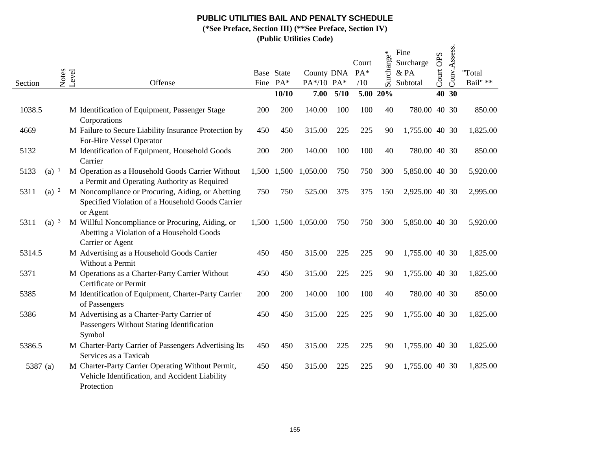## **PUBLIC UTILITIES BAIL AND PENALTY SCHEDULE**

**(\*See Preface, Section III) (\*\*See Preface, Section IV)**

**(Public Utilities Code)**

| Section  |                    | Notes<br>Level | Offense                                                                                                           |       | Base State<br>Fine PA* | County DNA<br>PA*/10 PA* |      | Court<br>PA*<br>/10 | $\phi^*$<br>Surcharg | Fine<br>Surcharge<br>& PA<br>Subtotal | Court OPS | Conv.Assess. | "Total<br>Bail" ** |
|----------|--------------------|----------------|-------------------------------------------------------------------------------------------------------------------|-------|------------------------|--------------------------|------|---------------------|----------------------|---------------------------------------|-----------|--------------|--------------------|
|          |                    |                |                                                                                                                   |       | 10/10                  | 7.00                     | 5/10 |                     | 5.00 20%             |                                       |           | 40 30        |                    |
| 1038.5   |                    |                | M Identification of Equipment, Passenger Stage<br>Corporations                                                    | 200   | 200                    | 140.00                   | 100  | 100                 | 40                   | 780.00                                |           | 40 30        | 850.00             |
| 4669     |                    |                | M Failure to Secure Liability Insurance Protection by<br>For-Hire Vessel Operator                                 | 450   | 450                    | 315.00                   | 225  | 225                 | 90                   | 1,755.00 40 30                        |           |              | 1,825.00           |
| 5132     |                    |                | M Identification of Equipment, Household Goods<br>Carrier                                                         | 200   | 200                    | 140.00                   | 100  | 100                 | 40                   | 780.00 40 30                          |           |              | 850.00             |
| 5133     | $(a)$ <sup>1</sup> |                | M Operation as a Household Goods Carrier Without<br>a Permit and Operating Authority as Required                  | 1,500 | 1,500                  | 1,050.00                 | 750  | 750                 | 300                  | 5,850.00 40 30                        |           |              | 5,920.00           |
| 5311     | $(a)$ <sup>2</sup> |                | M Noncompliance or Procuring, Aiding, or Abetting<br>Specified Violation of a Household Goods Carrier<br>or Agent | 750   | 750                    | 525.00                   | 375  | 375                 | 150                  | 2,925.00 40 30                        |           |              | 2,995.00           |
| 5311     | $(a)$ 3            |                | M Willful Noncompliance or Procuring, Aiding, or<br>Abetting a Violation of a Household Goods<br>Carrier or Agent |       |                        | 1,500 1,500 1,050.00     | 750  | 750                 | 300                  | 5,850.00 40 30                        |           |              | 5,920.00           |
| 5314.5   |                    |                | M Advertising as a Household Goods Carrier<br>Without a Permit                                                    | 450   | 450                    | 315.00                   | 225  | 225                 | 90                   | 1,755.00 40 30                        |           |              | 1,825.00           |
| 5371     |                    |                | M Operations as a Charter-Party Carrier Without<br>Certificate or Permit                                          | 450   | 450                    | 315.00                   | 225  | 225                 | 90                   | 1,755.00 40 30                        |           |              | 1,825.00           |
| 5385     |                    |                | M Identification of Equipment, Charter-Party Carrier<br>of Passengers                                             | 200   | 200                    | 140.00                   | 100  | 100                 | 40                   | 780.00 40 30                          |           |              | 850.00             |
| 5386     |                    |                | M Advertising as a Charter-Party Carrier of<br>Passengers Without Stating Identification<br>Symbol                | 450   | 450                    | 315.00                   | 225  | 225                 | 90                   | 1,755.00 40 30                        |           |              | 1,825.00           |
| 5386.5   |                    |                | M Charter-Party Carrier of Passengers Advertising Its<br>Services as a Taxicab                                    | 450   | 450                    | 315.00                   | 225  | 225                 | 90                   | 1,755.00 40 30                        |           |              | 1,825.00           |
| 5387 (a) |                    |                | M Charter-Party Carrier Operating Without Permit,<br>Vehicle Identification, and Accident Liability<br>Protection | 450   | 450                    | 315.00                   | 225  | 225                 | 90                   | 1,755.00 40 30                        |           |              | 1,825.00           |